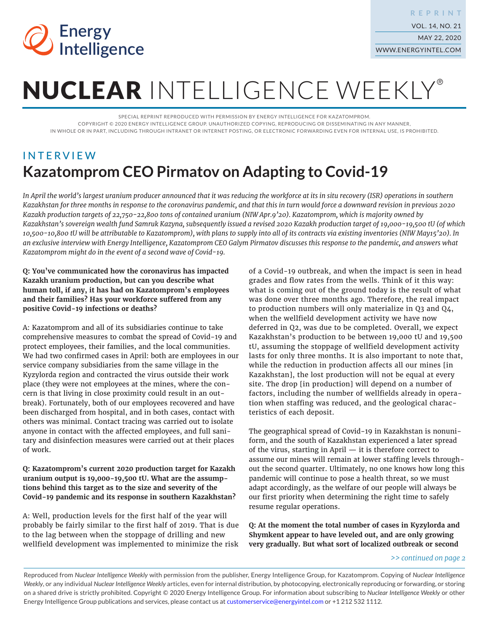

# NUCLEAR INTELLIGENCE WEEKLY®

SPECIAL REPRINT REPRODUCED WITH PERMISSION BY ENERGY INTELLIGENCE FOR KAZATOMPROM. COPYRIGHT © 2020 ENERGY INTELLIGENCE GROUP. UNAUTHORIZED COPYING, REPRODUCING OR DISSEMINATING IN ANY MANNER, IN WHOLE OR IN PART, INCLUDING THROUGH INTRANET OR INTERNET POSTING, OR ELECTRONIC FORWARDING EVEN FOR INTERNAL USE, IS PROHIBITED.

# INTERVIEW **Kazatomprom CEO Pirmatov on Adapting to Covid-19**

In April the world's largest uranium producer announced that it was reducing the workforce at its in situ recovery (ISR) operations in southern *Kazakhstan for three months in response to the coronavirus pandemic, and that this in turn would force a downward revision in previous 2020 Kazakh production targets of 22,750-22,800 tons of contained uranium (NIW Apr.9'20). Kazatomprom, which is majority owned by Kazakhstan's sovereign wealth fund Samruk Kazyna, subsequently issued a revised 2020 Kazakh production target of 19,000-19,500 tU (of which 10,500-10,800 tU will be attributable to Kazatomprom), with plans to supply into all of its contracts via existing inventories (NIW May15'20). In an exclusive interview with Energy Intelligence, Kazatomprom CEO Galym Pirmatov discusses this response to the pandemic, and answers what Kazatomprom might do in the event of a second wave of Covid-19.*

**Q: You've communicated how the coronavirus has impacted Kazakh uranium production, but can you describe what human toll, if any, it has had on Kazatomprom's employees and their families? Has your workforce suffered from any positive Covid-19 infections or deaths?**

A: Kazatomprom and all of its subsidiaries continue to take comprehensive measures to combat the spread of Covid-19 and protect employees, their families, and the local communities. We had two confirmed cases in April: both are employees in our service company subsidiaries from the same village in the Kyzylorda region and contracted the virus outside their work place (they were not employees at the mines, where the concern is that living in close proximity could result in an outbreak). Fortunately, both of our employees recovered and have been discharged from hospital, and in both cases, contact with others was minimal. Contact tracing was carried out to isolate anyone in contact with the affected employees, and full sanitary and disinfection measures were carried out at their places of work.

**Q: Kazatomprom's current 2020 production target for Kazakh uranium output is 19,000-19,500 tU. What are the assumptions behind this target as to the size and severity of the Covid-19 pandemic and its response in southern Kazakhstan?**

A: Well, production levels for the first half of the year will probably be fairly similar to the first half of 2019. That is due to the lag between when the stoppage of drilling and new wellfield development was implemented to minimize the risk

of a Covid-19 outbreak, and when the impact is seen in head grades and flow rates from the wells. Think of it this way: what is coming out of the ground today is the result of what was done over three months ago. Therefore, the real impact to production numbers will only materialize in Q3 and Q4, when the wellfield development activity we have now deferred in Q2, was due to be completed. Overall, we expect Kazakhstan's production to be between 19,000 tU and 19,500 tU, assuming the stoppage of wellfield development activity lasts for only three months. It is also important to note that, while the reduction in production affects all our mines [in Kazakhstan], the lost production will not be equal at every site. The drop [in production] will depend on a number of factors, including the number of wellfields already in operation when staffing was reduced, and the geological characteristics of each deposit.

The geographical spread of Covid-19 in Kazakhstan is nonuniform, and the south of Kazakhstan experienced a later spread of the virus, starting in April — it is therefore correct to assume our mines will remain at lower staffing levels throughout the second quarter. Ultimately, no one knows how long this pandemic will continue to pose a health threat, so we must adapt accordingly, as the welfare of our people will always be our first priority when determining the right time to safely resume regular operations.

**Q: At the moment the total number of cases in Kyzylorda and Shymkent appear to have leveled out, and are only growing very gradually. But what sort of localized outbreak or second** 

#### *>> continued on page 2*

Reproduced from *Nuclear Intelligence Weekly* with permission from the publisher, Energy Intelligence Group, for Kazatomprom. Copying of *Nuclear Intelligence Weekly*, or any individual *Nuclear Intelligence Weekly* articles, even for internal distribution, by photocopying, electronically reproducing or forwarding, or storing on a shared drive is strictly prohibited. Copyright © 2020 Energy Intelligence Group. For information about subscribing to *Nuclear Intelligence Weekly* or other Energy Intelligence Group publications and services, please contact us at customerservice@energyintel.com or +1 212 532 1112.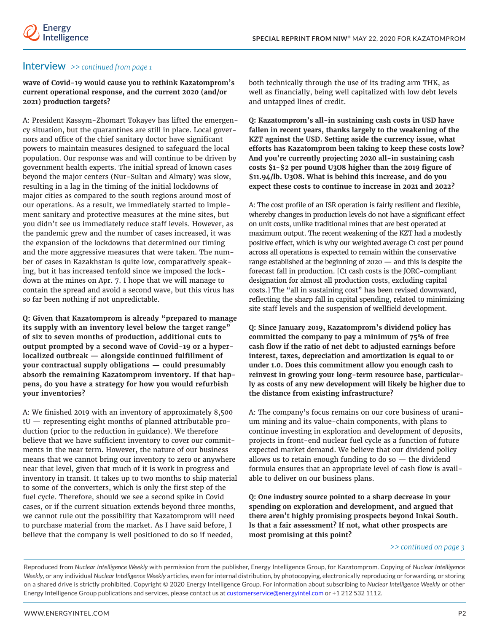## Interview *>> continued from page 1*

**wave of Covid-19 would cause you to rethink Kazatomprom's current operational response, and the current 2020 (and/or 2021) production targets?**

A: President Kassym-Zhomart Tokayev has lifted the emergency situation, but the quarantines are still in place. Local governors and office of the chief sanitary doctor have significant powers to maintain measures designed to safeguard the local population. Our response was and will continue to be driven by government health experts. The initial spread of known cases beyond the major centers (Nur-Sultan and Almaty) was slow, resulting in a lag in the timing of the initial lockdowns of major cities as compared to the south regions around most of our operations. As a result, we immediately started to implement sanitary and protective measures at the mine sites, but you didn't see us immediately reduce staff levels. However, as the pandemic grew and the number of cases increased, it was the expansion of the lockdowns that determined our timing and the more aggressive measures that were taken. The number of cases in Kazakhstan is quite low, comparatively speaking, but it has increased tenfold since we imposed the lockdown at the mines on Apr. 7. I hope that we will manage to contain the spread and avoid a second wave, but this virus has so far been nothing if not unpredictable.

**Q: Given that Kazatomprom is already "prepared to manage its supply with an inventory level below the target range" of six to seven months of production, additional cuts to output prompted by a second wave of Covid-19 or a hyperlocalized outbreak — alongside continued fulfillment of your contractual supply obligations — could presumably absorb the remaining Kazatomprom inventory. If that happens, do you have a strategy for how you would refurbish your inventories?**

A: We finished 2019 with an inventory of approximately 8,500 tU — representing eight months of planned attributable production (prior to the reduction in guidance). We therefore believe that we have sufficient inventory to cover our commitments in the near term. However, the nature of our business means that we cannot bring our inventory to zero or anywhere near that level, given that much of it is work in progress and inventory in transit. It takes up to two months to ship material to some of the converters, which is only the first step of the fuel cycle. Therefore, should we see a second spike in Covid cases, or if the current situation extends beyond three months, we cannot rule out the possibility that Kazatomprom will need to purchase material from the market. As I have said before, I believe that the company is well positioned to do so if needed,

both technically through the use of its trading arm THK, as well as financially, being well capitalized with low debt levels and untapped lines of credit.

**Q: Kazatomprom's all-in sustaining cash costs in USD have fallen in recent years, thanks largely to the weakening of the KZT against the USD. Setting aside the currency issue, what efforts has Kazatomprom been taking to keep these costs low? And you're currently projecting 2020 all-in sustaining cash costs \$1-\$2 per pound U3O8 higher than the 2019 figure of \$11.94/lb. U3O8. What is behind this increase, and do you expect these costs to continue to increase in 2021 and 2022?**

A: The cost profile of an ISR operation is fairly resilient and flexible, whereby changes in production levels do not have a significant effect on unit costs, unlike traditional mines that are best operated at maximum output. The recent weakening of the KZT had a modestly positive effect, which is why our weighted average C1 cost per pound across all operations is expected to remain within the conservative range established at the beginning of 2020 — and this is despite the forecast fall in production. [C1 cash costs is the JORC-compliant designation for almost all production costs, excluding capital costs.] The "all in sustaining cost" has been revised downward, reflecting the sharp fall in capital spending, related to minimizing site staff levels and the suspension of wellfield development.

**Q: Since January 2019, Kazatomprom's dividend policy has committed the company to pay a minimum of 75% of free cash flow if the ratio of net debt to adjusted earnings before interest, taxes, depreciation and amortization is equal to or under 1.0. Does this commitment allow you enough cash to reinvest in growing your long-term resource base, particularly as costs of any new development will likely be higher due to the distance from existing infrastructure?**

A: The company's focus remains on our core business of uranium mining and its value-chain components, with plans to continue investing in exploration and development of deposits, projects in front-end nuclear fuel cycle as a function of future expected market demand. We believe that our dividend policy allows us to retain enough funding to do so — the dividend formula ensures that an appropriate level of cash flow is available to deliver on our business plans.

**Q: One industry source pointed to a sharp decrease in your spending on exploration and development, and argued that there aren't highly promising prospects beyond Inkai South. Is that a fair assessment? If not, what other prospects are most promising at this point?**

#### *>> continued on page 3*

Reproduced from *Nuclear Intelligence Weekly* with permission from the publisher, Energy Intelligence Group, for Kazatomprom. Copying of *Nuclear Intelligence Weekly*, or any individual *Nuclear Intelligence Weekly* articles, even for internal distribution, by photocopying, electronically reproducing or forwarding, or storing on a shared drive is strictly prohibited. Copyright © 2020 Energy Intelligence Group. For information about subscribing to *Nuclear Intelligence Weekly* or other Energy Intelligence Group publications and services, please contact us at customerservice@energyintel.com or +1 212 532 1112.